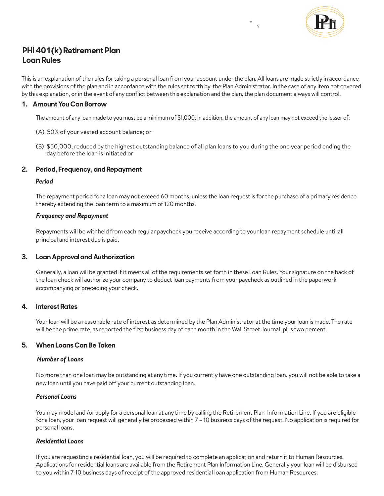

# **PHI 401(k) Retirement Plan Loan Rules**

This is an explanation of the rules for taking a personal loan from your account under the plan. All loans are made strictly in accordance with the provisions of the plan and in accordance with the rules set forth by the Plan Administrator. In the case of any item not covered by this explanation, or in the event of any conflict between this explanation and the plan, the plan document always will control.

## **1. Amount You Can Borrow**

The amount of any loan made to you must be a minimum of \$1,000. In addition, the amount of any loan may not exceed the lesser of:

- (A) 50% of your vested account balance; or
- (B) \$50,000, reduced by the highest outstanding balance of all plan loans to you during the one year period ending the day before the loan is initiated or

## **2. Period, Frequency, and Repayment**

#### *Period*

The repayment period for a loan may not exceed 60 months, unless the loan request is for the purchase of a primary residence thereby extending the loan term to a maximum of 120 months.

## *Frequency and Repayment*

Repayments will be withheld from each regular paycheck you receive according to your loan repayment schedule until all principal and interest due is paid.

# **3. Loan Approval and Authorization**

Generally, a loan will be granted if it meets all of the requirements set forth in these Loan Rules. Your signature on the back of the loan check will authorize your company to deduct loan payments from your paycheck as outlined in the paperwork accompanying or preceding your check.

# **4. Interest Rates**

Your loan will be a reasonable rate of interest as determined by the Plan Administrator at the time your loan is made. The rate will be the prime rate, as reported the first business day of each month in the Wall Street Journal, plus two percent.

## **5. When Loans Can Be Taken**

## *Number of Loans*

No more than one loan may be outstanding at any time. If you currently have one outstanding loan, you will not be able to take a new loan until you have paid off your current outstanding loan.

#### *Personal Loans*

You may model and /or apply for a personal loan at any time by calling the Retirement Plan Information Line. If you are eligible for a loan, your loan request will generally be processed within 7 – 10 business days of the request. No application is required for personal loans.

## *Residential Loans*

If you are requesting a residential loan, you will be required to complete an application and return it to Human Resources. Applications for residential loans are available from the Retirement Plan Information Line. Generally your loan will be disbursed to you within 7-10 business days of receipt of the approved residential loan application from Human Resources.